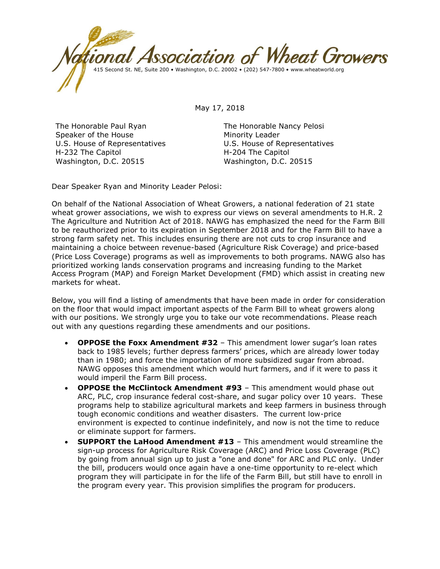

May 17, 2018

The Honorable Paul Ryan Speaker of the House U.S. House of Representatives H-232 The Capitol Washington, D.C. 20515

The Honorable Nancy Pelosi Minority Leader U.S. House of Representatives H-204 The Capitol Washington, D.C. 20515

Dear Speaker Ryan and Minority Leader Pelosi:

On behalf of the National Association of Wheat Growers, a national federation of 21 state wheat grower associations, we wish to express our views on several amendments to H.R. 2 The Agriculture and Nutrition Act of 2018. NAWG has emphasized the need for the Farm Bill to be reauthorized prior to its expiration in September 2018 and for the Farm Bill to have a strong farm safety net. This includes ensuring there are not cuts to crop insurance and maintaining a choice between revenue-based (Agriculture Risk Coverage) and price-based (Price Loss Coverage) programs as well as improvements to both programs. NAWG also has prioritized working lands conservation programs and increasing funding to the Market Access Program (MAP) and Foreign Market Development (FMD) which assist in creating new markets for wheat.

Below, you will find a listing of amendments that have been made in order for consideration on the floor that would impact important aspects of the Farm Bill to wheat growers along with our positions. We strongly urge you to take our vote recommendations. Please reach out with any questions regarding these amendments and our positions.

- **OPPOSE the Foxx Amendment #32** This amendment lower sugar's loan rates back to 1985 levels; further depress farmers' prices, which are already lower today than in 1980; and force the importation of more subsidized sugar from abroad. NAWG opposes this amendment which would hurt farmers, and if it were to pass it would imperil the Farm Bill process.
- **OPPOSE the McClintock Amendment #93** This amendment would phase out ARC, PLC, crop insurance federal cost-share, and sugar policy over 10 years. These programs help to stabilize agricultural markets and keep farmers in business through tough economic conditions and weather disasters. The current low-price environment is expected to continue indefinitely, and now is not the time to reduce or eliminate support for farmers.
- **SUPPORT the LaHood Amendment #13** This amendment would streamline the sign-up process for Agriculture Risk Coverage (ARC) and Price Loss Coverage (PLC) by going from annual sign up to just a "one and done" for ARC and PLC only. Under the bill, producers would once again have a one-time opportunity to re-elect which program they will participate in for the life of the Farm Bill, but still have to enroll in the program every year. This provision simplifies the program for producers.